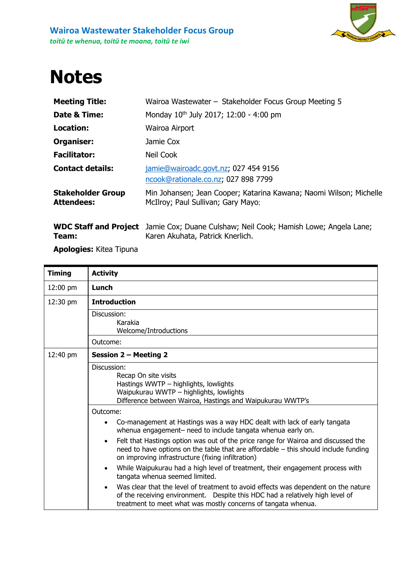

## **Notes**

| <b>Meeting Title:</b>                         | Wairoa Wastewater - Stakeholder Focus Group Meeting 5                                                    |
|-----------------------------------------------|----------------------------------------------------------------------------------------------------------|
| Date & Time:                                  | Monday 10 <sup>th</sup> July 2017; 12:00 - 4:00 pm                                                       |
| <b>Location:</b>                              | Wairoa Airport                                                                                           |
| Organiser:                                    | Jamie Cox                                                                                                |
| <b>Facilitator:</b>                           | Neil Cook                                                                                                |
| <b>Contact details:</b>                       | jamie@wairoadc.govt.nz; 027 454 9156<br>ncook@rationale.co.nz; 027 898 7799                              |
| <b>Stakeholder Group</b><br><b>Attendees:</b> | Min Johansen; Jean Cooper; Katarina Kawana; Naomi Wilson; Michelle<br>McIlroy; Paul Sullivan; Gary Mayo: |
|                                               |                                                                                                          |

|       | <b>WDC Staff and Project</b> Jamie Cox; Duane Culshaw; Neil Cook; Hamish Lowe; Angela Lane; |
|-------|---------------------------------------------------------------------------------------------|
| Team: | Karen Akuhata, Patrick Knerlich.                                                            |

**Apologies:** Kitea Tipuna

| <b>Timing</b>      | <b>Activity</b>                                                                                                                                                                                                                            |
|--------------------|--------------------------------------------------------------------------------------------------------------------------------------------------------------------------------------------------------------------------------------------|
| $12:00 \text{ pm}$ | Lunch                                                                                                                                                                                                                                      |
| 12:30 pm           | <b>Introduction</b>                                                                                                                                                                                                                        |
|                    | Discussion:<br>Karakia<br>Welcome/Introductions                                                                                                                                                                                            |
|                    | Outcome:                                                                                                                                                                                                                                   |
| 12:40 pm           | <b>Session 2 - Meeting 2</b>                                                                                                                                                                                                               |
|                    | Discussion:<br>Recap On site visits<br>Hastings WWTP - highlights, lowlights<br>Waipukurau WWTP - highlights, lowlights<br>Difference between Wairoa, Hastings and Waipukurau WWTP's                                                       |
|                    | Outcome:                                                                                                                                                                                                                                   |
|                    | Co-management at Hastings was a way HDC dealt with lack of early tangata<br>$\bullet$<br>whenua engagement- need to include tangata whenua early on.                                                                                       |
|                    | Felt that Hastings option was out of the price range for Wairoa and discussed the<br>$\bullet$<br>need to have options on the table that are affordable - this should include funding<br>on improving infrastructure (fixing infiltration) |
|                    | While Waipukurau had a high level of treatment, their engagement process with<br>$\bullet$<br>tangata whenua seemed limited.                                                                                                               |
|                    | Was clear that the level of treatment to avoid effects was dependent on the nature<br>of the receiving environment. Despite this HDC had a relatively high level of<br>treatment to meet what was mostly concerns of tangata whenua.       |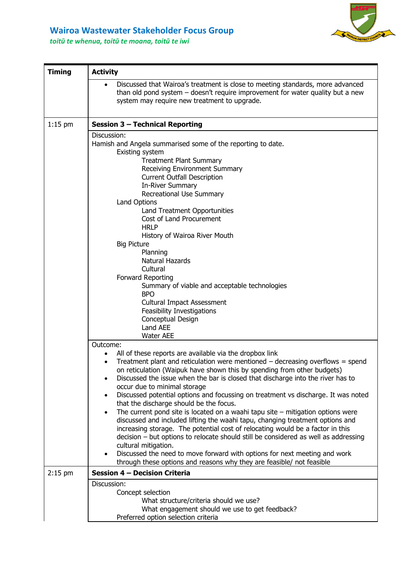

## **Wairoa Wastewater Stakeholder Focus Group**

*toitū te whenua, toitū te moana, toitū te iwi*

| <b>Timing</b> | <b>Activity</b>                                                                                                                                                                                                                                                                                                                                                                                                                                                                                                                                                                                                                                                                                                                                                                                                                                                                                                                                                                                                                                                                                                                                                                                                                                                                                                                                                                   |  |
|---------------|-----------------------------------------------------------------------------------------------------------------------------------------------------------------------------------------------------------------------------------------------------------------------------------------------------------------------------------------------------------------------------------------------------------------------------------------------------------------------------------------------------------------------------------------------------------------------------------------------------------------------------------------------------------------------------------------------------------------------------------------------------------------------------------------------------------------------------------------------------------------------------------------------------------------------------------------------------------------------------------------------------------------------------------------------------------------------------------------------------------------------------------------------------------------------------------------------------------------------------------------------------------------------------------------------------------------------------------------------------------------------------------|--|
|               | Discussed that Wairoa's treatment is close to meeting standards, more advanced<br>than old pond system $-$ doesn't require improvement for water quality but a new<br>system may require new treatment to upgrade.                                                                                                                                                                                                                                                                                                                                                                                                                                                                                                                                                                                                                                                                                                                                                                                                                                                                                                                                                                                                                                                                                                                                                                |  |
| $1:15$ pm     | <b>Session 3 - Technical Reporting</b>                                                                                                                                                                                                                                                                                                                                                                                                                                                                                                                                                                                                                                                                                                                                                                                                                                                                                                                                                                                                                                                                                                                                                                                                                                                                                                                                            |  |
|               | Discussion:<br>Hamish and Angela summarised some of the reporting to date.<br>Existing system<br><b>Treatment Plant Summary</b><br>Receiving Environment Summary<br><b>Current Outfall Description</b><br><b>In-River Summary</b><br>Recreational Use Summary<br>Land Options<br>Land Treatment Opportunities<br>Cost of Land Procurement<br><b>HRLP</b><br>History of Wairoa River Mouth<br><b>Big Picture</b><br>Planning<br>Natural Hazards<br>Cultural<br>Forward Reporting<br>Summary of viable and acceptable technologies<br><b>BPO</b><br><b>Cultural Impact Assessment</b><br>Feasibility Investigations<br>Conceptual Design<br>Land AEE<br><b>Water AEE</b><br>Outcome:<br>All of these reports are available via the dropbox link<br>$\bullet$<br>Treatment plant and reticulation were mentioned $-$ decreasing overflows = spend<br>$\bullet$<br>on reticulation (Waipuk have shown this by spending from other budgets)<br>Discussed the issue when the bar is closed that discharge into the river has to<br>٠<br>occur due to minimal storage<br>Discussed potential options and focussing on treatment vs discharge. It was noted<br>that the discharge should be the focus.<br>The current pond site is located on a waahi tapu site $-$ mitigation options were<br>$\bullet$<br>discussed and included lifting the waahi tapu, changing treatment options and |  |
|               | increasing storage. The potential cost of relocating would be a factor in this<br>decision - but options to relocate should still be considered as well as addressing<br>cultural mitigation.                                                                                                                                                                                                                                                                                                                                                                                                                                                                                                                                                                                                                                                                                                                                                                                                                                                                                                                                                                                                                                                                                                                                                                                     |  |
|               | Discussed the need to move forward with options for next meeting and work<br>through these options and reasons why they are feasible/ not feasible                                                                                                                                                                                                                                                                                                                                                                                                                                                                                                                                                                                                                                                                                                                                                                                                                                                                                                                                                                                                                                                                                                                                                                                                                                |  |
| $2:15$ pm     | Session 4 - Decision Criteria                                                                                                                                                                                                                                                                                                                                                                                                                                                                                                                                                                                                                                                                                                                                                                                                                                                                                                                                                                                                                                                                                                                                                                                                                                                                                                                                                     |  |
|               | Discussion:<br>Concept selection<br>What structure/criteria should we use?<br>What engagement should we use to get feedback?<br>Preferred option selection criteria                                                                                                                                                                                                                                                                                                                                                                                                                                                                                                                                                                                                                                                                                                                                                                                                                                                                                                                                                                                                                                                                                                                                                                                                               |  |